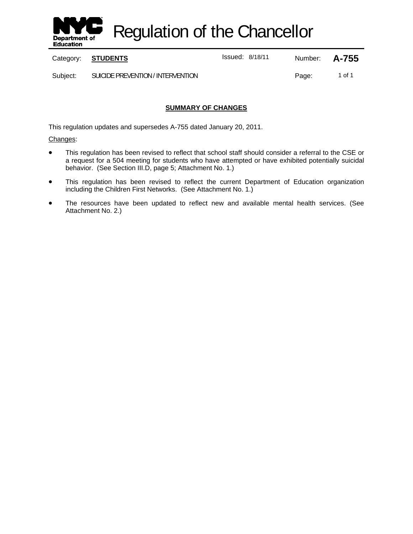

Regulation of the Chancellor

Category: **STUDENTS ISSUE 18/18/11** Number: **A-755** 

Subject: SUICIDE PREVENTION / INTERVENTION **Page:** 1 of 1

## **SUMMARY OF CHANGES**

This regulation updates and supersedes A-755 dated January 20, 2011.

Changes:

- This regulation has been revised to reflect that school staff should consider a referral to the CSE or a request for a 504 meeting for students who have attempted or have exhibited potentially suicidal behavior. (See Section III.D, page 5; Attachment No. 1.)
- This regulation has been revised to reflect the current Department of Education organization including the Children First Networks. (See Attachment No. 1.)
- The resources have been updated to reflect new and available mental health services. (See Attachment No. 2.)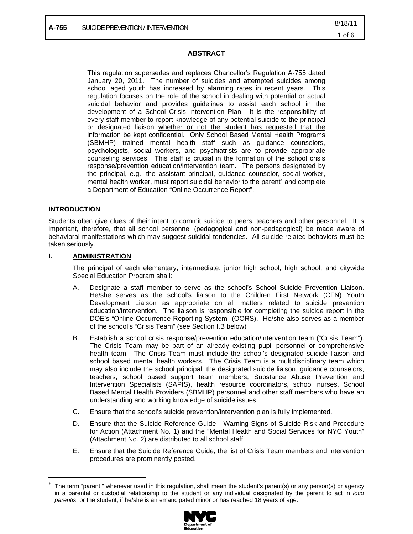### **ABSTRACT**

This regulation supersedes and replaces Chancellor's Regulation A-755 dated January 20, 2011. The number of suicides and attempted suicides among school aged youth has increased by alarming rates in recent years. This regulation focuses on the role of the school in dealing with potential or actual suicidal behavior and provides guidelines to assist each school in the development of a School Crisis Intervention Plan. It is the responsibility of every staff member to report knowledge of any potential suicide to the principal or designated liaison whether or not the student has requested that the information be kept confidential. Only School Based Mental Health Programs (SBMHP) trained mental health staff such as guidance counselors, psychologists, social workers, and psychiatrists are to provide appropriate counseling services. This staff is crucial in the formation of the school crisis response/prevention education/intervention team. The persons designated by the principal, e.g., the assistant principal, guidance counselor, social worker, mental health worker, must report suicidal behavior to the parent<sup>∗</sup> and complete a Department of Education "Online Occurrence Report".

## **INTRODUCTION**

 $\overline{a}$ 

Students often give clues of their intent to commit suicide to peers, teachers and other personnel. It is important, therefore, that all school personnel (pedagogical and non-pedagogical) be made aware of behavioral manifestations which may suggest suicidal tendencies. All suicide related behaviors must be taken seriously.

#### **I. ADMINISTRATION**

The principal of each elementary, intermediate, junior high school, high school, and citywide Special Education Program shall:

- A. Designate a staff member to serve as the school's School Suicide Prevention Liaison. He/she serves as the school's liaison to the Children First Network (CFN) Youth Development Liaison as appropriate on all matters related to suicide prevention education/intervention. The liaison is responsible for completing the suicide report in the DOE's "Online Occurrence Reporting System" (OORS). He/she also serves as a member of the school's "Crisis Team" (see Section I.B below)
- B. Establish a school crisis response/prevention education/intervention team ("Crisis Team"). The Crisis Team may be part of an already existing pupil personnel or comprehensive health team. The Crisis Team must include the school's designated suicide liaison and school based mental health workers. The Crisis Team is a multidisciplinary team which may also include the school principal, the designated suicide liaison, guidance counselors, teachers, school based support team members, Substance Abuse Prevention and Intervention Specialists (SAPIS), health resource coordinators, school nurses, School Based Mental Health Providers (SBMHP) personnel and other staff members who have an understanding and working knowledge of suicide issues.
- C. Ensure that the school's suicide prevention/intervention plan is fully implemented.
- D. Ensure that the Suicide Reference Guide Warning Signs of Suicide Risk and Procedure for Action (Attachment No. 1) and the "Mental Health and Social Services for NYC Youth" (Attachment No. 2) are distributed to all school staff.
- E. Ensure that the Suicide Reference Guide, the list of Crisis Team members and intervention procedures are prominently posted.

<sup>∗</sup> The term "parent," whenever used in this regulation, shall mean the student's parent(s) or any person(s) or agency in a parental or custodial relationship to the student or any individual designated by the parent to act in *loco parentis*, or the student, if he/she is an emancipated minor or has reached 18 years of age.

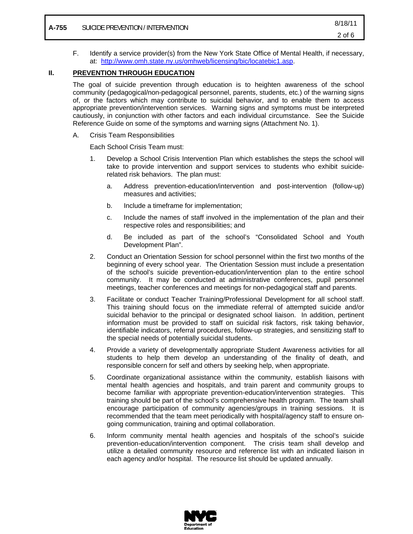F. Identify a service provider(s) from the New York State Office of Mental Health, if necessary, at: http://www.omh.state.ny.us/omhweb/licensing/bic/locatebic1.asp.

### **II. PREVENTION THROUGH EDUCATION**

The goal of suicide prevention through education is to heighten awareness of the school community (pedagogical/non-pedagogical personnel, parents, students, etc.) of the warning signs of, or the factors which may contribute to suicidal behavior, and to enable them to access appropriate prevention/intervention services. Warning signs and symptoms must be interpreted cautiously, in conjunction with other factors and each individual circumstance. See the Suicide Reference Guide on some of the symptoms and warning signs (Attachment No. 1).

A. Crisis Team Responsibilities

Each School Crisis Team must:

- 1. Develop a School Crisis Intervention Plan which establishes the steps the school will take to provide intervention and support services to students who exhibit suiciderelated risk behaviors. The plan must:
	- a. Address prevention-education/intervention and post-intervention (follow-up) measures and activities;
	- b. Include a timeframe for implementation;
	- c. Include the names of staff involved in the implementation of the plan and their respective roles and responsibilities; and
	- d. Be included as part of the school's "Consolidated School and Youth Development Plan".
- 2. Conduct an Orientation Session for school personnel within the first two months of the beginning of every school year. The Orientation Session must include a presentation of the school's suicide prevention-education/intervention plan to the entire school community. It may be conducted at administrative conferences, pupil personnel meetings, teacher conferences and meetings for non-pedagogical staff and parents.
- 3. Facilitate or conduct Teacher Training/Professional Development for all school staff. This training should focus on the immediate referral of attempted suicide and/or suicidal behavior to the principal or designated school liaison. In addition, pertinent information must be provided to staff on suicidal risk factors, risk taking behavior, identifiable indicators, referral procedures, follow-up strategies, and sensitizing staff to the special needs of potentially suicidal students.
- 4. Provide a variety of developmentally appropriate Student Awareness activities for all students to help them develop an understanding of the finality of death, and responsible concern for self and others by seeking help, when appropriate.
- 5. Coordinate organizational assistance within the community, establish liaisons with mental health agencies and hospitals, and train parent and community groups to become familiar with appropriate prevention-education/intervention strategies. This training should be part of the school's comprehensive health program. The team shall encourage participation of community agencies/groups in training sessions. It is recommended that the team meet periodically with hospital/agency staff to ensure ongoing communication, training and optimal collaboration.
- 6. Inform community mental health agencies and hospitals of the school's suicide prevention-education/intervention component. The crisis team shall develop and utilize a detailed community resource and reference list with an indicated liaison in each agency and/or hospital. The resource list should be updated annually.

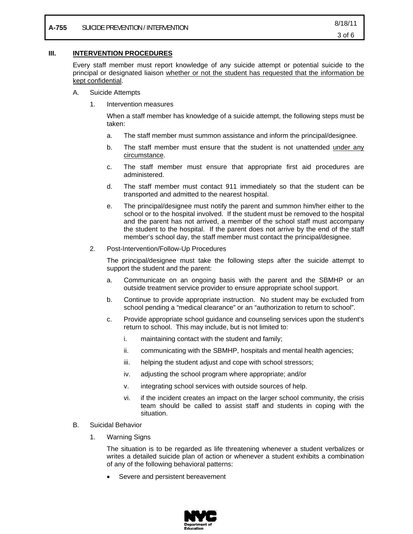### **III. INTERVENTION PROCEDURES**

Every staff member must report knowledge of any suicide attempt or potential suicide to the principal or designated liaison whether or not the student has requested that the information be kept confidential.

- A. Suicide Attempts
	- 1. Intervention measures

When a staff member has knowledge of a suicide attempt, the following steps must be taken:

- a. The staff member must summon assistance and inform the principal/designee.
- b. The staff member must ensure that the student is not unattended under any circumstance.
- c. The staff member must ensure that appropriate first aid procedures are administered.
- d. The staff member must contact 911 immediately so that the student can be transported and admitted to the nearest hospital.
- e. The principal/designee must notify the parent and summon him/her either to the school or to the hospital involved. If the student must be removed to the hospital and the parent has not arrived, a member of the school staff must accompany the student to the hospital. If the parent does not arrive by the end of the staff member's school day, the staff member must contact the principal/designee.
- 2. Post-Intervention/Follow-Up Procedures

The principal/designee must take the following steps after the suicide attempt to support the student and the parent:

- a. Communicate on an ongoing basis with the parent and the SBMHP or an outside treatment service provider to ensure appropriate school support.
- b. Continue to provide appropriate instruction. No student may be excluded from school pending a "medical clearance" or an "authorization to return to school".
- c. Provide appropriate school guidance and counseling services upon the student's return to school. This may include, but is not limited to:
	- i. maintaining contact with the student and family;
	- ii. communicating with the SBMHP, hospitals and mental health agencies;
	- iii. helping the student adjust and cope with school stressors;
	- iv. adjusting the school program where appropriate; and/or
	- v. integrating school services with outside sources of help.
	- vi. if the incident creates an impact on the larger school community, the crisis team should be called to assist staff and students in coping with the situation.
- B. Suicidal Behavior
	- 1. Warning Signs

The situation is to be regarded as life threatening whenever a student verbalizes or writes a detailed suicide plan of action or whenever a student exhibits a combination of any of the following behavioral patterns:

Severe and persistent bereavement

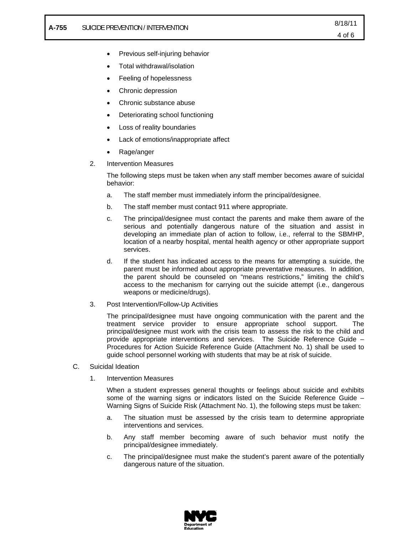- Previous self-injuring behavior
- Total withdrawal/isolation
- Feeling of hopelessness
- Chronic depression
- Chronic substance abuse
- Deteriorating school functioning
- Loss of reality boundaries
- Lack of emotions/inappropriate affect
- Rage/anger
- 2. Intervention Measures

The following steps must be taken when any staff member becomes aware of suicidal behavior:

- a. The staff member must immediately inform the principal/designee.
- b. The staff member must contact 911 where appropriate.
- c. The principal/designee must contact the parents and make them aware of the serious and potentially dangerous nature of the situation and assist in developing an immediate plan of action to follow, i.e., referral to the SBMHP, location of a nearby hospital, mental health agency or other appropriate support services.
- d. If the student has indicated access to the means for attempting a suicide, the parent must be informed about appropriate preventative measures. In addition, the parent should be counseled on "means restrictions," limiting the child's access to the mechanism for carrying out the suicide attempt (i.e., dangerous weapons or medicine/drugs).
- 3. Post Intervention/Follow-Up Activities

The principal/designee must have ongoing communication with the parent and the treatment service provider to ensure appropriate school support. The principal/designee must work with the crisis team to assess the risk to the child and provide appropriate interventions and services. The Suicide Reference Guide – Procedures for Action Suicide Reference Guide (Attachment No. 1) shall be used to guide school personnel working with students that may be at risk of suicide.

- C. Suicidal Ideation
	- 1. Intervention Measures

When a student expresses general thoughts or feelings about suicide and exhibits some of the warning signs or indicators listed on the Suicide Reference Guide – Warning Signs of Suicide Risk (Attachment No. 1), the following steps must be taken:

- a. The situation must be assessed by the crisis team to determine appropriate interventions and services.
- b. Any staff member becoming aware of such behavior must notify the principal/designee immediately.
- c. The principal/designee must make the student's parent aware of the potentially dangerous nature of the situation.

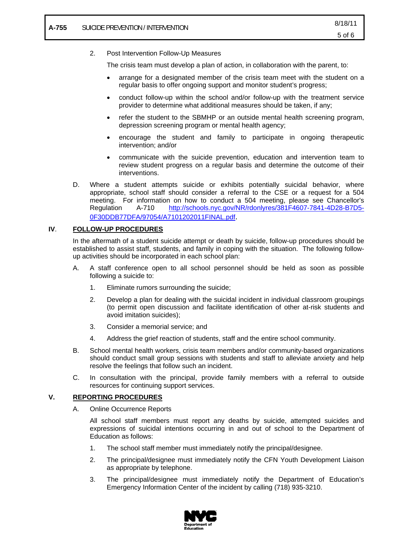#### 2. Post Intervention Follow-Up Measures

The crisis team must develop a plan of action, in collaboration with the parent, to:

- arrange for a designated member of the crisis team meet with the student on a regular basis to offer ongoing support and monitor student's progress;
- conduct follow-up within the school and/or follow-up with the treatment service provider to determine what additional measures should be taken, if any;
- refer the student to the SBMHP or an outside mental health screening program, depression screening program or mental health agency;
- encourage the student and family to participate in ongoing therapeutic intervention; and/or
- communicate with the suicide prevention, education and intervention team to review student progress on a regular basis and determine the outcome of their interventions.
- D. Where a student attempts suicide or exhibits potentially suicidal behavior, where appropriate, school staff should consider a referral to the CSE or a request for a 504 meeting. For information on how to conduct a 504 meeting, please see Chancellor's Regulation A-710 http://schools.nyc.gov/NR/rdonlyres/381F4607-7841-4D28-B7D5- 0F30DDB77DFA/97054/A7101202011FINAL.pdf.

#### **IV**. **FOLLOW-UP PROCEDURES**

In the aftermath of a student suicide attempt or death by suicide, follow-up procedures should be established to assist staff, students, and family in coping with the situation. The following followup activities should be incorporated in each school plan:

- A. A staff conference open to all school personnel should be held as soon as possible following a suicide to:
	- 1. Eliminate rumors surrounding the suicide;
	- 2. Develop a plan for dealing with the suicidal incident in individual classroom groupings (to permit open discussion and facilitate identification of other at-risk students and avoid imitation suicides);
	- 3. Consider a memorial service; and
	- 4. Address the grief reaction of students, staff and the entire school community.
- B. School mental health workers, crisis team members and/or community-based organizations should conduct small group sessions with students and staff to alleviate anxiety and help resolve the feelings that follow such an incident.
- C. In consultation with the principal, provide family members with a referral to outside resources for continuing support services.

#### **V. REPORTING PROCEDURES**

A. Online Occurrence Reports

All school staff members must report any deaths by suicide, attempted suicides and expressions of suicidal intentions occurring in and out of school to the Department of Education as follows:

- 1. The school staff member must immediately notify the principal/designee.
- 2. The principal/designee must immediately notify the CFN Youth Development Liaison as appropriate by telephone.
- 3. The principal/designee must immediately notify the Department of Education's Emergency Information Center of the incident by calling (718) 935-3210.

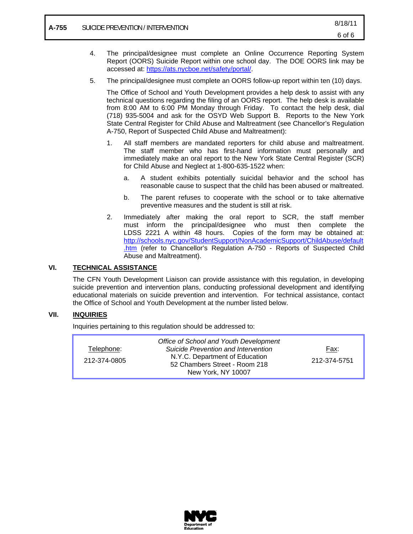- 4. The principal/designee must complete an Online Occurrence Reporting System Report (OORS) Suicide Report within one school day. The DOE OORS link may be accessed at: https://ats.nycboe.net/safety/portal/.
- 5. The principal/designee must complete an OORS follow-up report within ten (10) days.

The Office of School and Youth Development provides a help desk to assist with any technical questions regarding the filing of an OORS report. The help desk is available from 8:00 AM to 6:00 PM Monday through Friday. To contact the help desk, dial (718) 935-5004 and ask for the OSYD Web Support B. Reports to the New York State Central Register for Child Abuse and Maltreatment (see Chancellor's Regulation A-750, Report of Suspected Child Abuse and Maltreatment):

- 1. All staff members are mandated reporters for child abuse and maltreatment. The staff member who has first-hand information must personally and immediately make an oral report to the New York State Central Register (SCR) for Child Abuse and Neglect at 1-800-635-1522 when:
	- a. A student exhibits potentially suicidal behavior and the school has reasonable cause to suspect that the child has been abused or maltreated.
	- b. The parent refuses to cooperate with the school or to take alternative preventive measures and the student is still at risk.
- 2. Immediately after making the oral report to SCR, the staff member must inform the principal/designee who must then complete the LDSS 2221 A within 48 hours. Copies of the form may be obtained at: http://schools.nyc.gov/StudentSupport/NonAcademicSupport/ChildAbuse/default .htm (refer to Chancellor's Regulation A-750 - Reports of Suspected Child Abuse and Maltreatment).

## **VI. TECHNICAL ASSISTANCE**

The CFN Youth Development Liaison can provide assistance with this regulation, in developing suicide prevention and intervention plans, conducting professional development and identifying educational materials on suicide prevention and intervention. For technical assistance, contact the Office of School and Youth Development at the number listed below.

### **VII. INQUIRIES**

Inquiries pertaining to this regulation should be addressed to:

|              | Office of School and Youth Development                          |              |
|--------------|-----------------------------------------------------------------|--------------|
| Telephone:   | Suicide Prevention and Intervention                             | Fax:         |
| 212-374-0805 | N.Y.C. Department of Education<br>52 Chambers Street - Room 218 | 212-374-5751 |
|              | New York, NY 10007                                              |              |

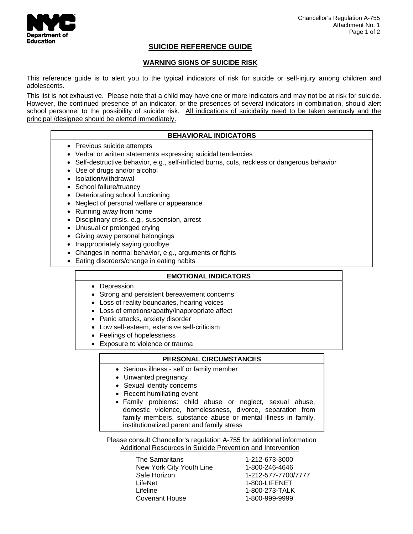

## **SUICIDE REFERENCE GUIDE**

## **WARNING SIGNS OF SUICIDE RISK**

This reference guide is to alert you to the typical indicators of risk for suicide or self-injury among children and adolescents.

This list is not exhaustive. Please note that a child may have one or more indicators and may not be at risk for suicide. However, the continued presence of an indicator, or the presences of several indicators in combination, should alert school personnel to the possibility of suicide risk. All indications of suicidality need to be taken seriously and the principal /designee should be alerted immediately.

#### **BEHAVIORAL INDICATORS**

- Previous suicide attempts
- Verbal or written statements expressing suicidal tendencies
- Self-destructive behavior, e.g., self-inflicted burns, cuts, reckless or dangerous behavior
- Use of drugs and/or alcohol
- Isolation/withdrawal
- School failure/truancy
- Deteriorating school functioning
- Neglect of personal welfare or appearance
- Running away from home
- Disciplinary crisis, e.g., suspension, arrest
- Unusual or prolonged crying
- Giving away personal belongings
- Inappropriately saying goodbye
- Changes in normal behavior, e.g., arguments or fights
- Eating disorders/change in eating habits

### **EMOTIONAL INDICATORS**

- Depression
- Strong and persistent bereavement concerns
- Loss of reality boundaries, hearing voices
- Loss of emotions/apathy/inappropriate affect
- Panic attacks, anxiety disorder
- Low self-esteem, extensive self-criticism
- Feelings of hopelessness
- Exposure to violence or trauma

#### **PERSONAL CIRCUMSTANCES**

- Serious illness self or family member
- Unwanted pregnancy
- Sexual identity concerns
- Recent humiliating event
- Family problems: child abuse or neglect, sexual abuse, domestic violence, homelessness, divorce, separation from family members, substance abuse or mental illness in family, institutionalized parent and family stress

 Please consult Chancellor's regulation A-755 for additional information Additional Resources in Suicide Prevention and Intervention

> The Samaritans 1-212-673-3000 New York City Youth Line 1-800-246-4646 Safe Horizon 1-212-577-7700/7777 LifeNet 1-800-LIFENET Lifeline 1-800-273-TALK Covenant House 1-800-999-9999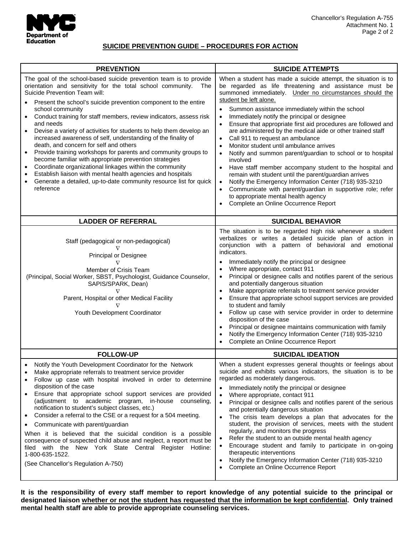

## **SUICIDE PREVENTION GUIDE – PROCEDURES FOR ACTION**

| <b>PREVENTION</b>                                                                                                                                                                                                                                                                                                                                                                                                                                                                                                                                                                                                                                                                                                                                                                                                                                                                                                                                           | <b>SUICIDE ATTEMPTS</b>                                                                                                                                                                                                                                                                                                                                                                                                                                                                                                                                                                                                                                                                                                                                                                                                                                                                                                                                                                               |  |
|-------------------------------------------------------------------------------------------------------------------------------------------------------------------------------------------------------------------------------------------------------------------------------------------------------------------------------------------------------------------------------------------------------------------------------------------------------------------------------------------------------------------------------------------------------------------------------------------------------------------------------------------------------------------------------------------------------------------------------------------------------------------------------------------------------------------------------------------------------------------------------------------------------------------------------------------------------------|-------------------------------------------------------------------------------------------------------------------------------------------------------------------------------------------------------------------------------------------------------------------------------------------------------------------------------------------------------------------------------------------------------------------------------------------------------------------------------------------------------------------------------------------------------------------------------------------------------------------------------------------------------------------------------------------------------------------------------------------------------------------------------------------------------------------------------------------------------------------------------------------------------------------------------------------------------------------------------------------------------|--|
| The goal of the school-based suicide prevention team is to provide<br>orientation and sensitivity for the total school community.<br>The<br>Suicide Prevention Team will:<br>Present the school's suicide prevention component to the entire<br>school community<br>Conduct training for staff members, review indicators, assess risk<br>$\bullet$<br>and needs<br>Devise a variety of activities for students to help them develop an<br>$\bullet$<br>increased awareness of self, understanding of the finality of<br>death, and concern for self and others<br>Provide training workshops for parents and community groups to<br>$\bullet$<br>become familiar with appropriate prevention strategies<br>Coordinate organizational linkages within the community<br>$\bullet$<br>Establish liaison with mental health agencies and hospitals<br>$\bullet$<br>Generate a detailed, up-to-date community resource list for quick<br>$\bullet$<br>reference | When a student has made a suicide attempt, the situation is to<br>be regarded as life threatening and assistance must be<br>summoned immediately. Under no circumstances should the<br>student be left alone.<br>Summon assistance immediately within the school<br>Immediately notify the principal or designee<br>$\bullet$<br>Ensure that appropriate first aid procedures are followed and<br>$\bullet$<br>are administered by the medical aide or other trained staff<br>Call 911 to request an ambulance<br>Monitor student until ambulance arrives<br>Notify and summon parent/guardian to school or to hospital<br>$\bullet$<br>involved<br>Have staff member accompany student to the hospital and<br>$\bullet$<br>remain with student until the parent/guardian arrives<br>Notify the Emergency Information Center (718) 935-3210<br>Communicate with parent/guardian in supportive role; refer<br>$\bullet$<br>to appropriate mental health agency<br>Complete an Online Occurrence Report |  |
| <b>LADDER OF REFERRAL</b>                                                                                                                                                                                                                                                                                                                                                                                                                                                                                                                                                                                                                                                                                                                                                                                                                                                                                                                                   | <b>SUICIDAL BEHAVIOR</b>                                                                                                                                                                                                                                                                                                                                                                                                                                                                                                                                                                                                                                                                                                                                                                                                                                                                                                                                                                              |  |
| Staff (pedagogical or non-pedagogical)<br>Principal or Designee<br>$\nabla$<br>Member of Crisis Team<br>(Principal, Social Worker, SBST, Psychologist, Guidance Counselor,<br>SAPIS/SPARK, Dean)<br>Parent, Hospital or other Medical Facility<br>Youth Development Coordinator                                                                                                                                                                                                                                                                                                                                                                                                                                                                                                                                                                                                                                                                             | The situation is to be regarded high risk whenever a student<br>verbalizes or writes a detailed suicide plan of action in<br>conjunction with a pattern of behavioral and emotional<br>indicators.<br>Immediately notify the principal or designee<br>$\bullet$<br>Where appropriate, contact 911<br>Principal or designee calls and notifies parent of the serious<br>and potentially dangerous situation<br>Make appropriate referrals to treatment service provider<br>$\bullet$<br>Ensure that appropriate school support services are provided<br>to student and family<br>Follow up case with service provider in order to determine<br>disposition of the case<br>Principal or designee maintains communication with family<br>Notify the Emergency Information Center (718) 935-3210<br>Complete an Online Occurrence Report                                                                                                                                                                  |  |
| <b>FOLLOW-UP</b>                                                                                                                                                                                                                                                                                                                                                                                                                                                                                                                                                                                                                                                                                                                                                                                                                                                                                                                                            | <b>SUICIDAL IDEATION</b>                                                                                                                                                                                                                                                                                                                                                                                                                                                                                                                                                                                                                                                                                                                                                                                                                                                                                                                                                                              |  |
| Notify the Youth Development Coordinator for the Network<br>Make appropriate referrals to treatment service provider<br>Follow up case with hospital involved in order to determine<br>$\bullet$<br>disposition of the case<br>Ensure that appropriate school support services are provided<br>$\bullet$<br>(adjustment to academic program, in-house counseling,<br>notification to student's subject classes, etc.)<br>Consider a referral to the CSE or a request for a 504 meeting.<br>$\bullet$<br>Communicate with parent/guardian<br>$\bullet$<br>When it is believed that the suicidal condition is a possible<br>consequence of suspected child abuse and neglect, a report must be<br>filed with the New York State Central Register Hotline:<br>1-800-635-1522.<br>(See Chancellor's Regulation A-750)                                                                                                                                           | When a student expresses general thoughts or feelings about<br>suicide and exhibits various indicators, the situation is to be<br>regarded as moderately dangerous.<br>Immediately notify the principal or designee<br>Where appropriate, contact 911<br>$\bullet$<br>Principal or designee calls and notifies parent of the serious<br>$\bullet$<br>and potentially dangerous situation<br>The crisis team develops a plan that advocates for the<br>student, the provision of services, meets with the student<br>regularly, and monitors the progress<br>Refer the student to an outside mental health agency<br>Encourage student and family to participate in on-going<br>therapeutic interventions<br>Notify the Emergency Information Center (718) 935-3210<br>Complete an Online Occurrence Report<br>$\bullet$                                                                                                                                                                               |  |

**It is the responsibility of every staff member to report knowledge of any potential suicide to the principal or designated liaison whether or not the student has requested that the information be kept confidential. Only trained mental health staff are able to provide appropriate counseling services.**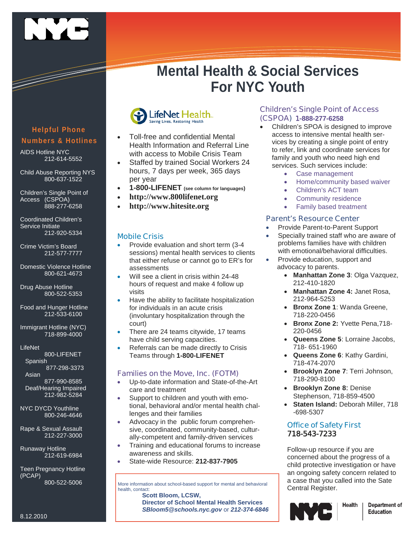

# **Mental Health & Social Services For NYC Youth**

## **Helpful Phone Numbers & Hotlines**

AIDS Hotline NYC 212-614-5552

Child Abuse Reporting NYS 800-637-1522

Children's Single Point of Access (CSPOA) 888-277-6258

Coordinated Children's Service Initiate 212-920-5334

Crime Victim's Board 212-577-7777

Domestic Violence Hotline 800-621-4673

Drug Abuse Hotline 800-522-5353

Food and Hunger Hotline 212-533-6100

Immigrant Hotline (NYC) 718-899-4000

**LifeNet** 

800-LIFENET Spanish 877-298-3373

Asian

877-990-8585 Deaf/Hearing Impaired 212-982-5284

NYC DYCD Youthline 800-246-4646

Rape & Sexual Assault 212-227-3000

Runaway Hotline 212-619-6984

Teen Pregnancy Hotline (PCAP) 800-522-5006



- Toll-free and confidential Mental Health Information and Referral Line with access to Mobile Crisis Team
- Staffed by trained Social Workers 24 hours, 7 days per week, 365 days per year
- **1-800-LIFENET (see column for languages)**
- **http://www.800lifenet.org**
- **http://www.hitesite.org**

## **Mobile Crisis**

- Provide evaluation and short term (3-4 sessions) mental health services to clients that either refuse or cannot go to ER's for assessments
- Will see a client in crisis within 24-48 hours of request and make 4 follow up visits
- Have the ability to facilitate hospitalization for individuals in an acute crisis (involuntary hospitalization through the court)
- There are 24 teams citywide, 17 teams have child serving capacities.
- Referrals can be made directly to Crisis Teams through **1-800-LIFENET**

## **Families on the Move, Inc. (FOTM)**

- Up-to-date information and State-of-the-Art care and treatment
- Support to children and youth with emotional, behavioral and/or mental health challenges and their families
- Advocacy in the public forum comprehensive, coordinated, community-based, culturally-competent and family-driven services
- Training and educational forums to increase awareness and skills.
- State-wide Resource: **212-837-7905**

More information about school-based support for mental and behavioral health, contact:

**Scott Bloom, LCSW, Director of School Mental Health Services** *SBloom5@schools.nyc.gov* or *212-374-6846*

## **Children's Single Point of Access (CSPOA) 1-888-277-6258**

- Children's SPOA is designed to improve access to intensive mental health services by creating a single point of entry to refer, link and coordinate services for family and youth who need high end services. Such services include:
	- Case management
	- Home/community based waiver
	- Children's ACT team
	- Community residence
	- Family based treatment

## **Parent's Resource Center**

- Provide Parent-to-Parent Support
- Specially trained staff who are aware of problems families have with children with emotional/behavioral difficulties.
- Provide education, support and advocacy to parents.
	- **Manhattan Zone 3**: Olga Vazquez, 212-410-1820
	- **Manhattan Zone 4:** Janet Rosa, 212-964-5253
	- **Bronx Zone 1**: Wanda Greene, 718-220-0456
	- **Bronx Zone 2:** Yvette Pena,718- 220-0456
	- **Queens Zone 5**: Lorraine Jacobs, 718- 651-1960
	- **Queens Zone 6**: Kathy Gardini, 718-474-2070
	- **Brooklyn Zone 7**: Terri Johnson, 718-290-8100
	- **Brooklyn Zone 8**: Denise Stephenson, 718-859-4500
	- **Staten Island:** Deborah Miller, 718 -698-5307

## **Office of Safety First 718-543-7233**

Follow-up resource if you are concerned about the progress of a child protective investigation or have an ongoing safety concern related to a case that you called into the Sate Central Register.



**Department of** Education